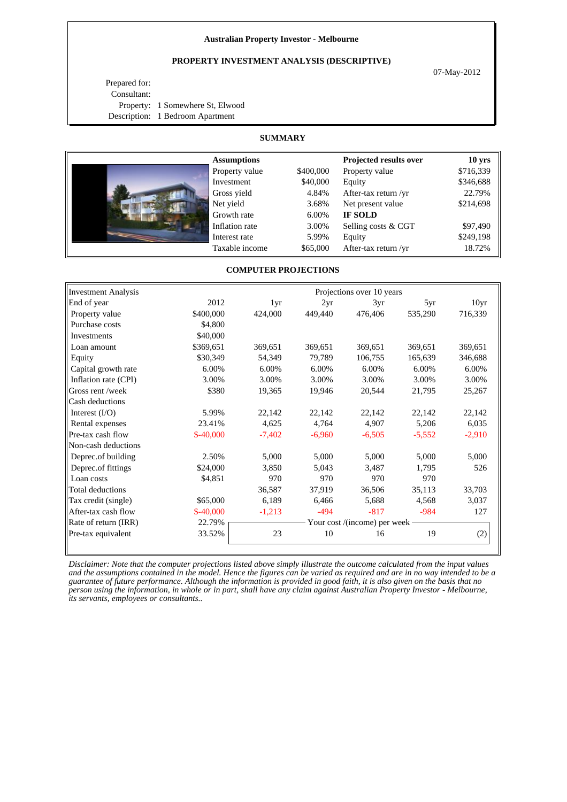### **Australian Property Investor - Melbourne**

# **PROPERTY INVESTMENT ANALYSIS (DESCRIPTIVE)**

07-May-2012

Prepared for: Consultant: Property: 1 Somewhere St, Elwood Description: 1 Bedroom Apartment

# **SUMMARY**

| <b>Assumptions</b> |           | Projected results over | 10 <sub>yrs</sub> |
|--------------------|-----------|------------------------|-------------------|
| Property value     | \$400,000 | Property value         | \$716,339         |
| Investment         | \$40,000  | Equity                 | \$346,688         |
| Gross yield        | 4.84%     | After-tax return /yr   | 22.79%            |
| Net yield          | 3.68%     | Net present value      | \$214,698         |
| Growth rate        | 6.00%     | <b>IF SOLD</b>         |                   |
| Inflation rate     | 3.00%     | Selling costs & CGT    | \$97,490          |
| Interest rate      | 5.99%     | Equity                 | \$249,198         |
| Taxable income     | \$65,000  | After-tax return /yr   | 18.72%            |

## **COMPUTER PROJECTIONS**

| Investment Analysis  |            |                              |          | Projections over 10 years |          |                  |
|----------------------|------------|------------------------------|----------|---------------------------|----------|------------------|
| End of year          | 2012       | 1yr                          | 2yr      | 3yr                       | 5yr      | 10 <sub>yr</sub> |
| Property value       | \$400,000  | 424,000                      | 449,440  | 476,406                   | 535,290  | 716,339          |
| Purchase costs       | \$4,800    |                              |          |                           |          |                  |
| Investments          | \$40,000   |                              |          |                           |          |                  |
| Loan amount          | \$369,651  | 369,651                      | 369,651  | 369,651                   | 369,651  | 369,651          |
| Equity               | \$30,349   | 54,349                       | 79,789   | 106,755                   | 165,639  | 346,688          |
| Capital growth rate  | 6.00%      | 6.00%                        | 6.00%    | 6.00%                     | 6.00%    | 6.00%            |
| Inflation rate (CPI) | 3.00%      | 3.00%                        | 3.00%    | 3.00%                     | 3.00%    | 3.00%            |
| Gross rent /week     | \$380      | 19,365                       | 19,946   | 20,544                    | 21,795   | 25,267           |
| Cash deductions      |            |                              |          |                           |          |                  |
| Interest $(I/O)$     | 5.99%      | 22,142                       | 22,142   | 22,142                    | 22,142   | 22,142           |
| Rental expenses      | 23.41%     | 4,625                        | 4,764    | 4,907                     | 5,206    | 6,035            |
| Pre-tax cash flow    | $$-40,000$ | $-7,402$                     | $-6,960$ | $-6,505$                  | $-5,552$ | $-2,910$         |
| Non-cash deductions  |            |                              |          |                           |          |                  |
| Deprec.of building   | 2.50%      | 5,000                        | 5,000    | 5,000                     | 5,000    | 5,000            |
| Deprec.of fittings   | \$24,000   | 3.850                        | 5,043    | 3,487                     | 1,795    | 526              |
| Loan costs           | \$4,851    | 970                          | 970      | 970                       | 970      |                  |
| Total deductions     |            | 36,587                       | 37,919   | 36,506                    | 35,113   | 33,703           |
| Tax credit (single)  | \$65,000   | 6,189                        | 6,466    | 5,688                     | 4,568    | 3,037            |
| After-tax cash flow  | $$-40,000$ | $-1,213$                     | $-494$   | $-817$                    | $-984$   | 127              |
| Rate of return (IRR) | 22.79%     | Your cost /(income) per week |          |                           |          |                  |
| Pre-tax equivalent   | 33.52%     | 23                           | 10       | 16                        | 19       | (2)              |
|                      |            |                              |          |                           |          |                  |

*Disclaimer: Note that the computer projections listed above simply illustrate the outcome calculated from the input values and the assumptions contained in the model. Hence the figures can be varied as required and are in no way intended to be a guarantee of future performance. Although the information is provided in good faith, it is also given on the basis that no person using the information, in whole or in part, shall have any claim against Australian Property Investor - Melbourne, its servants, employees or consultants..*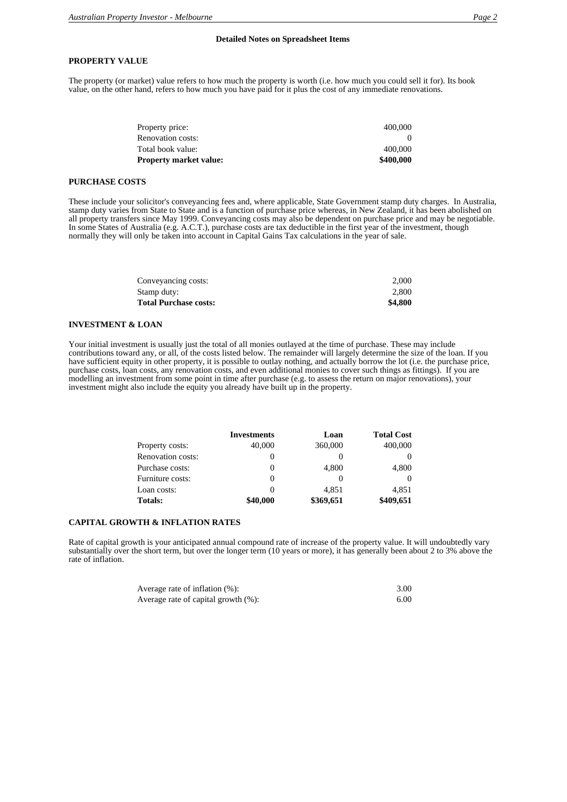The property (or market) value refers to how much the property is worth (i.e. how much you could sell it for). Its book value, on the other hand, refers to how much you have paid for it plus the cost of any immediate renovations.

| Property market value: | \$400,000 |
|------------------------|-----------|
| Total book value:      | 400,000   |
| Renovation costs:      |           |
| Property price:        | 400,000   |
|                        |           |

## **PURCHASE COSTS**

These include your solicitor's conveyancing fees and, where applicable, State Government stamp duty charges. In Australia, stamp duty varies from State to State and is a function of purchase price whereas, in New Zealand, it has been abolished on all property transfers since May 1999. Conveyancing costs may also be dependent on purchase price and may be negotiable. In some States of Australia (e.g. A.C.T.), purchase costs are tax deductible in the first year of the investment, though normally they will only be taken into account in Capital Gains Tax calculations in the year of sale.

| \$4,800 |
|---------|
| 2.800   |
| 2.000   |
|         |

#### **INVESTMENT & LOAN**

Your initial investment is usually just the total of all monies outlayed at the time of purchase. These may include contributions toward any, or all, of the costs listed below. The remainder will largely determine the size of the loan. If you have sufficient equity in other property, it is possible to outlay nothing, and actually borrow the lot (i.e. the purchase price, purchase costs, loan costs, any renovation costs, and even additional monies to cover such things as fittings). If you are modelling an investment from some point in time after purchase (e.g. to assess the return on major renovations), your investment might also include the equity you already have built up in the property.

|                          | <b>Investments</b> | Loan      | <b>Total Cost</b> |
|--------------------------|--------------------|-----------|-------------------|
| Property costs:          | 40,000             | 360,000   | 400,000           |
| <b>Renovation costs:</b> | $\theta$           | $\theta$  |                   |
| Purchase costs:          | $\theta$           | 4,800     | 4,800             |
| Furniture costs:         | $\theta$           | $\theta$  |                   |
| Loan costs:              | $\theta$           | 4.851     | 4.851             |
| <b>Totals:</b>           | \$40,000           | \$369,651 | \$409,651         |

### **CAPITAL GROWTH & INFLATION RATES**

Rate of capital growth is your anticipated annual compound rate of increase of the property value. It will undoubtedly vary substantially over the short term, but over the longer term (10 years or more), it has generally been about 2 to 3% above the rate of inflation.

| Average rate of inflation (%):      | 3.00 |
|-------------------------------------|------|
| Average rate of capital growth (%): | 6.00 |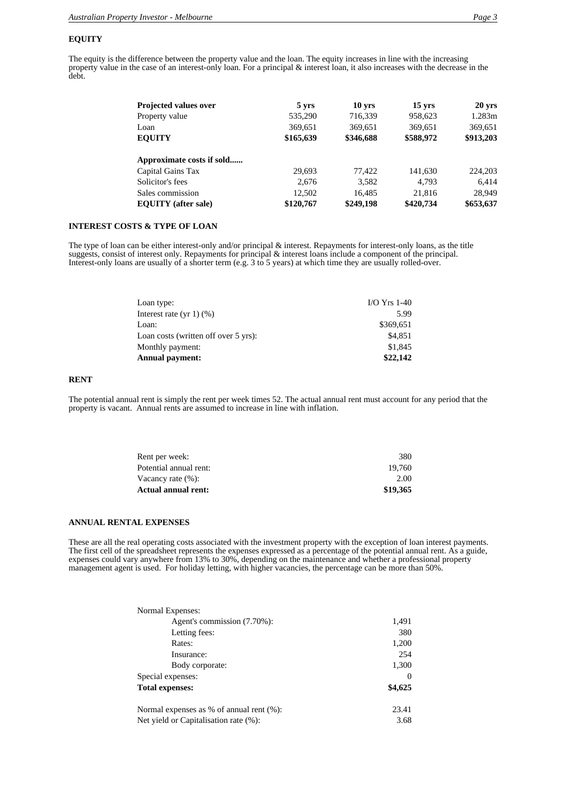### **EQUITY**

The equity is the difference between the property value and the loan. The equity increases in line with the increasing property value in the case of an interest-only loan. For a principal & interest loan, it also increases with the decrease in the debt.

| <b>Projected values over</b> | 5 yrs     | $10$ yrs  | $15 \text{ yrs}$ | $20 \text{ yrs}$ |
|------------------------------|-----------|-----------|------------------|------------------|
| Property value               | 535,290   | 716,339   | 958,623          | 1.283m           |
| Loan                         | 369,651   | 369,651   | 369,651          | 369,651          |
| <b>EQUITY</b>                | \$165,639 | \$346,688 | \$588,972        | \$913,203        |
| Approximate costs if sold    |           |           |                  |                  |
| Capital Gains Tax            | 29,693    | 77,422    | 141,630          | 224,203          |
| Solicitor's fees             | 2.676     | 3,582     | 4.793            | 6.414            |
| Sales commission             | 12,502    | 16,485    | 21,816           | 28.949           |
| <b>EQUITY</b> (after sale)   | \$120,767 | \$249,198 | \$420,734        | \$653,637        |

## **INTEREST COSTS & TYPE OF LOAN**

The type of loan can be either interest-only and/or principal & interest. Repayments for interest-only loans, as the title suggests, consist of interest only. Repayments for principal & interest loans include a component of the principal. Interest-only loans are usually of a shorter term (e.g. 3 to 5 years) at which time they are usually rolled-over.

| Loan type:                           | $IO Yrs 1-40$ |
|--------------------------------------|---------------|
| Interest rate $(yr 1)(% )$           | 5.99          |
| Loan:                                | \$369.651     |
| Loan costs (written off over 5 yrs): | \$4.851       |
| Monthly payment:                     | \$1,845       |
| Annual payment:                      | \$22,142      |

# **RENT**

The potential annual rent is simply the rent per week times 52. The actual annual rent must account for any period that the property is vacant. Annual rents are assumed to increase in line with inflation.

| Actual annual rent:    | \$19,365 |
|------------------------|----------|
| Vacancy rate (%):      | 2.00     |
| Potential annual rent: | 19.760   |
| Rent per week:         | 380      |
|                        |          |

#### **ANNUAL RENTAL EXPENSES**

These are all the real operating costs associated with the investment property with the exception of loan interest payments. The first cell of the spreadsheet represents the expenses expressed as a percentage of the potential annual rent. As a guide, expenses could vary anywhere from 13% to 30%, depending on the maintenance and whether a professional property management agent is used. For holiday letting, with higher vacancies, the percentage can be more than 50%.

| Normal Expenses:                         |          |
|------------------------------------------|----------|
| Agent's commission (7.70%):              | 1,491    |
| Letting fees:                            | 380      |
| Rates:                                   | 1,200    |
| Insurance:                               | 254      |
| Body corporate:                          | 1,300    |
| Special expenses:                        | $\Omega$ |
| <b>Total expenses:</b>                   | \$4,625  |
| Normal expenses as % of annual rent (%): | 23.41    |
| Net yield or Capitalisation rate (%):    | 3.68     |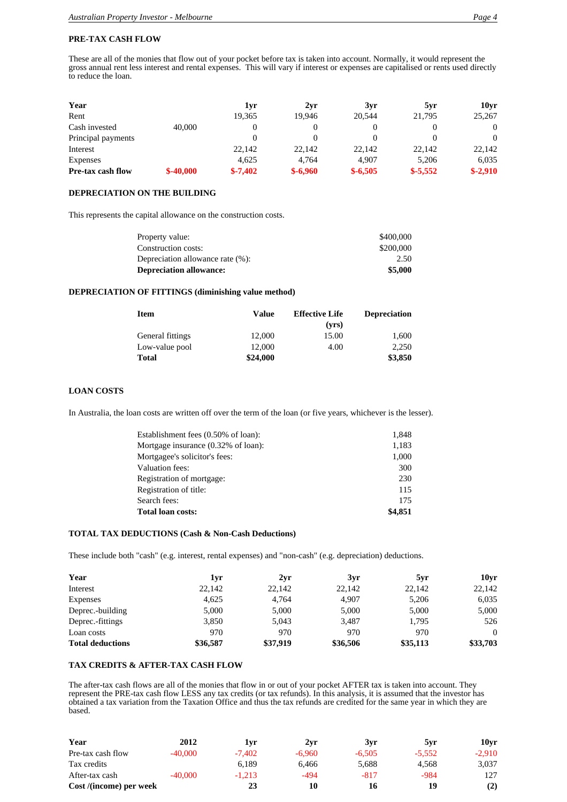### **PRE-TAX CASH FLOW**

These are all of the monies that flow out of your pocket before tax is taken into account. Normally, it would represent the gross annual rent less interest and rental expenses. This will vary if interest or expenses are capitalised or rents used directly to reduce the loan.

| Year               |            | 1yr       | 2yr       | 3yr       | 5yr       | 10yr      |
|--------------------|------------|-----------|-----------|-----------|-----------|-----------|
| Rent               |            | 19,365    | 19.946    | 20.544    | 21,795    | 25,267    |
| Cash invested      | 40,000     |           |           |           |           | $\theta$  |
| Principal payments |            |           |           |           |           | $\Omega$  |
| Interest           |            | 22.142    | 22,142    | 22,142    | 22,142    | 22,142    |
| Expenses           |            | 4.625     | 4.764     | 4.907     | 5.206     | 6,035     |
| Pre-tax cash flow  | $$-40,000$ | $$-7,402$ | $$-6,960$ | $$-6,505$ | $$-5.552$ | $$-2,910$ |

## **DEPRECIATION ON THE BUILDING**

This represents the capital allowance on the construction costs.

| Property value:                  | \$400,000 |
|----------------------------------|-----------|
| Construction costs:              | \$200,000 |
| Depreciation allowance rate (%): | 2.50      |
| <b>Depreciation allowance:</b>   | \$5,000   |

# **DEPRECIATION OF FITTINGS (diminishing value method)**

| <b>Item</b>      | Value    | <b>Effective Life</b> | <b>Depreciation</b> |
|------------------|----------|-----------------------|---------------------|
|                  |          | (vrs)                 |                     |
| General fittings | 12,000   | 15.00                 | 1.600               |
| Low-value pool   | 12,000   | 4.00                  | 2.250               |
| <b>Total</b>     | \$24,000 |                       | \$3,850             |

# **LOAN COSTS**

In Australia, the loan costs are written off over the term of the loan (or five years, whichever is the lesser).

| Establishment fees (0.50% of loan): | 1,848   |
|-------------------------------------|---------|
| Mortgage insurance (0.32% of loan): | 1,183   |
| Mortgagee's solicitor's fees:       | 1,000   |
| Valuation fees:                     | 300     |
| Registration of mortgage:           | 230     |
| Registration of title:              | 115     |
| Search fees:                        | 175     |
| <b>Total loan costs:</b>            | \$4,851 |

## **TOTAL TAX DEDUCTIONS (Cash & Non-Cash Deductions)**

These include both "cash" (e.g. interest, rental expenses) and "non-cash" (e.g. depreciation) deductions.

| Year                    | lyr      | 2yr      | 3yr      | 5yr      | 10vr     |
|-------------------------|----------|----------|----------|----------|----------|
| Interest                | 22,142   | 22,142   | 22,142   | 22,142   | 22,142   |
| <b>Expenses</b>         | 4.625    | 4.764    | 4.907    | 5,206    | 6,035    |
| Deprec.-building        | 5,000    | 5,000    | 5,000    | 5.000    | 5,000    |
| Deprec.-fittings        | 3,850    | 5,043    | 3,487    | 1,795    | 526      |
| Loan costs              | 970      | 970      | 970      | 970      | $\Omega$ |
| <b>Total deductions</b> | \$36,587 | \$37,919 | \$36,506 | \$35,113 | \$33,703 |

#### **TAX CREDITS & AFTER-TAX CASH FLOW**

The after-tax cash flows are all of the monies that flow in or out of your pocket AFTER tax is taken into account. They represent the PRE-tax cash flow LESS any tax credits (or tax refunds). In this analysis, it is assumed that the investor has obtained a tax variation from the Taxation Office and thus the tax refunds are credited for the same year in which they are based.

| Year                    | 2012      | 1yr      | 2vr      | 3yr      | 5vr      | 10yr     |
|-------------------------|-----------|----------|----------|----------|----------|----------|
| Pre-tax cash flow       | $-40,000$ | $-7.402$ | $-6.960$ | $-6.505$ | $-5.552$ | $-2.910$ |
| Tax credits             |           | 6.189    | 6.466    | 5,688    | 4.568    | 3.037    |
| After-tax cash          | $-40,000$ | $-1.213$ | -494     | $-817$   | -984     | 127      |
| Cost /(income) per week |           | 23       | 10       | 16       | 19       | (2)      |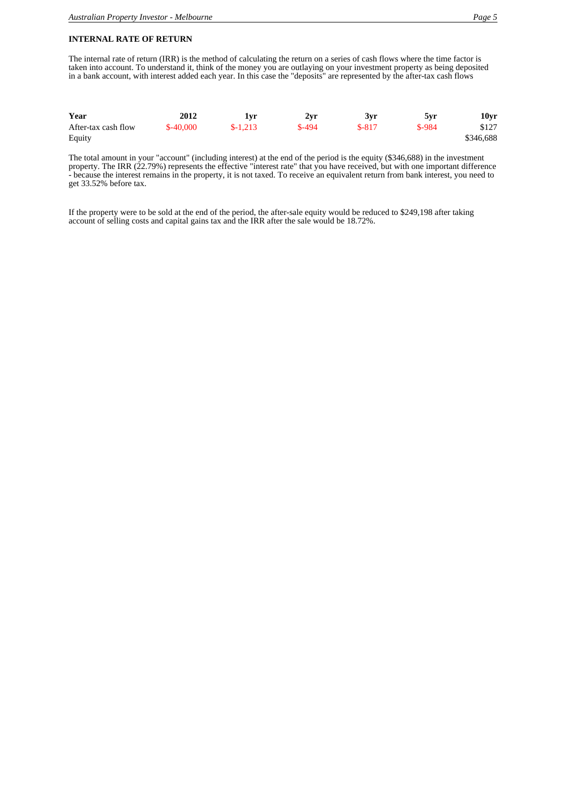# **INTERNAL RATE OF RETURN**

The internal rate of return (IRR) is the method of calculating the return on a series of cash flows where the time factor is taken into account. To understand it, think of the money you are outlaying on your investment property as being deposited in a bank account, with interest added each year. In this case the "deposits" are represented by the after-tax cash flows

| Year                | 2012       | ! VI      | 2yr     | 3yr     | 5yr     | 10yr      |
|---------------------|------------|-----------|---------|---------|---------|-----------|
| After-tax cash flow | $$-40,000$ | $$-1,213$ | $$-494$ | $$-817$ | $$-984$ | \$127     |
| Equity              |            |           |         |         |         | \$346,688 |

The total amount in your "account" (including interest) at the end of the period is the equity (\$346,688) in the investment property. The IRR (22.79%) represents the effective "interest rate" that you have received, but with one important difference - because the interest remains in the property, it is not taxed. To receive an equivalent return from bank interest, you need to get 33.52% before tax.

If the property were to be sold at the end of the period, the after-sale equity would be reduced to \$249,198 after taking account of selling costs and capital gains tax and the IRR after the sale would be 18.72%.